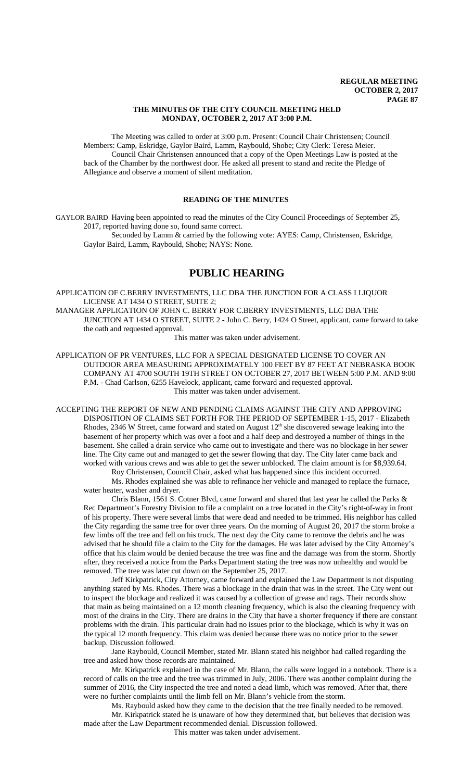## **THE MINUTES OF THE CITY COUNCIL MEETING HELD MONDAY, OCTOBER 2, 2017 AT 3:00 P.M.**

The Meeting was called to order at 3:00 p.m. Present: Council Chair Christensen; Council Members: Camp, Eskridge, Gaylor Baird, Lamm, Raybould, Shobe; City Clerk: Teresa Meier. Council Chair Christensen announced that a copy of the Open Meetings Law is posted at the back of the Chamber by the northwest door. He asked all present to stand and recite the Pledge of Allegiance and observe a moment of silent meditation.

# **READING OF THE MINUTES**

GAYLOR BAIRD Having been appointed to read the minutes of the City Council Proceedings of September 25, 2017, reported having done so, found same correct.

Seconded by Lamm & carried by the following vote: AYES: Camp, Christensen, Eskridge, Gaylor Baird, Lamm, Raybould, Shobe; NAYS: None.

# **PUBLIC HEARING**

APPLICATION OF C.BERRY INVESTMENTS, LLC DBA THE JUNCTION FOR A CLASS I LIQUOR LICENSE AT 1434 O STREET, SUITE 2;

MANAGER APPLICATION OF JOHN C. BERRY FOR C.BERRY INVESTMENTS, LLC DBA THE JUNCTION AT 1434 O STREET, SUITE 2 - John C. Berry, 1424 O Street, applicant, came forward to take the oath and requested approval.

This matter was taken under advisement.

APPLICATION OF PR VENTURES, LLC FOR A SPECIAL DESIGNATED LICENSE TO COVER AN OUTDOOR AREA MEASURING APPROXIMATELY 100 FEET BY 87 FEET AT NEBRASKA BOOK COMPANY AT 4700 SOUTH 19TH STREET ON OCTOBER 27, 2017 BETWEEN 5:00 P.M. AND 9:00 P.M. - Chad Carlson, 6255 Havelock, applicant, came forward and requested approval. This matter was taken under advisement.

ACCEPTING THE REPORT OF NEW AND PENDING CLAIMS AGAINST THE CITY AND APPROVING DISPOSITION OF CLAIMS SET FORTH FOR THE PERIOD OF SEPTEMBER 1-15, 2017 - Elizabeth Rhodes, 2346 W Street, came forward and stated on August 12<sup>th</sup> she discovered sewage leaking into the basement of her property which was over a foot and a half deep and destroyed a number of things in the basement. She called a drain service who came out to investigate and there was no blockage in her sewer line. The City came out and managed to get the sewer flowing that day. The City later came back and worked with various crews and was able to get the sewer unblocked. The claim amount is for \$8,939.64. Roy Christensen, Council Chair, asked what has happened since this incident occurred.

Ms. Rhodes explained she was able to refinance her vehicle and managed to replace the furnace, water heater, washer and dryer.

Chris Blann, 1561 S. Cotner Blvd, came forward and shared that last year he called the Parks & Rec Department's Forestry Division to file a complaint on a tree located in the City's right-of-way in front of his property. There were several limbs that were dead and needed to be trimmed. His neighbor has called the City regarding the same tree for over three years. On the morning of August 20, 2017 the storm broke a few limbs off the tree and fell on his truck. The next day the City came to remove the debris and he was advised that he should file a claim to the City for the damages. He was later advised by the City Attorney's office that his claim would be denied because the tree was fine and the damage was from the storm. Shortly after, they received a notice from the Parks Department stating the tree was now unhealthy and would be removed. The tree was later cut down on the September 25, 2017.

Jeff Kirkpatrick, City Attorney, came forward and explained the Law Department is not disputing anything stated by Ms. Rhodes. There was a blockage in the drain that was in the street. The City went out to inspect the blockage and realized it was caused by a collection of grease and rags. Their records show that main as being maintained on a 12 month cleaning frequency, which is also the cleaning frequency with most of the drains in the City. There are drains in the City that have a shorter frequency if there are constant problems with the drain. This particular drain had no issues prior to the blockage, which is why it was on the typical 12 month frequency. This claim was denied because there was no notice prior to the sewer backup. Discussion followed.

Jane Raybould, Council Member, stated Mr. Blann stated his neighbor had called regarding the tree and asked how those records are maintained.

Mr. Kirkpatrick explained in the case of Mr. Blann, the calls were logged in a notebook. There is a record of calls on the tree and the tree was trimmed in July, 2006. There was another complaint during the summer of 2016, the City inspected the tree and noted a dead limb, which was removed. After that, there were no further complaints until the limb fell on Mr. Blann's vehicle from the storm.

Ms. Raybould asked how they came to the decision that the tree finally needed to be removed. Mr. Kirkpatrick stated he is unaware of how they determined that, but believes that decision was made after the Law Department recommended denial. Discussion followed.

This matter was taken under advisement.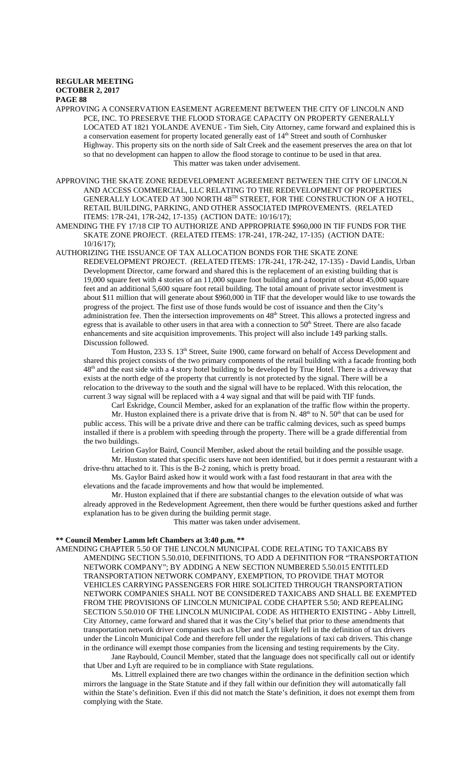APPROVING A CONSERVATION EASEMENT AGREEMENT BETWEEN THE CITY OF LINCOLN AND PCE, INC. TO PRESERVE THE FLOOD STORAGE CAPACITY ON PROPERTY GENERALLY LOCATED AT 1821 YOLANDE AVENUE - Tim Sieh, City Attorney, came forward and explained this is a conservation easement for property located generally east of 14<sup>th</sup> Street and south of Cornhusker Highway. This property sits on the north side of Salt Creek and the easement preserves the area on that lot so that no development can happen to allow the flood storage to continue to be used in that area. This matter was taken under advisement.

APPROVING THE SKATE ZONE REDEVELOPMENT AGREEMENT BETWEEN THE CITY OF LINCOLN AND ACCESS COMMERCIAL, LLC RELATING TO THE REDEVELOPMENT OF PROPERTIES GENERALLY LOCATED AT 300 NORTH 48TH STREET, FOR THE CONSTRUCTION OF A HOTEL, RETAIL BUILDING, PARKING, AND OTHER ASSOCIATED IMPROVEMENTS. (RELATED ITEMS: 17R-241, 17R-242, 17-135) (ACTION DATE: 10/16/17);

AMENDING THE FY 17/18 CIP TO AUTHORIZE AND APPROPRIATE \$960,000 IN TIF FUNDS FOR THE SKATE ZONE PROJECT. (RELATED ITEMS: 17R-241, 17R-242, 17-135) (ACTION DATE: 10/16/17);

AUTHORIZING THE ISSUANCE OF TAX ALLOCATION BONDS FOR THE SKATE ZONE

REDEVELOPMENT PROJECT. (RELATED ITEMS: 17R-241, 17R-242, 17-135) - David Landis, Urban Development Director, came forward and shared this is the replacement of an existing building that is 19,000 square feet with 4 stories of an 11,000 square foot building and a footprint of about 45,000 square feet and an additional 5,600 square foot retail building. The total amount of private sector investment is about \$11 million that will generate about \$960,000 in TIF that the developer would like to use towards the progress of the project. The first use of those funds would be cost of issuance and then the City's administration fee. Then the intersection improvements on  $48<sup>th</sup>$  Street. This allows a protected ingress and egress that is available to other users in that area with a connection to  $50<sup>th</sup>$  Street. There are also facade enhancements and site acquisition improvements. This project will also include 149 parking stalls. Discussion followed.

Tom Huston, 233 S. 13<sup>th</sup> Street, Suite 1900, came forward on behalf of Access Development and shared this project consists of the two primary components of the retail building with a facade fronting both 48th and the east side with a 4 story hotel building to be developed by True Hotel. There is a driveway that exists at the north edge of the property that currently is not protected by the signal. There will be a relocation to the driveway to the south and the signal will have to be replaced. With this relocation, the current 3 way signal will be replaced with a 4 way signal and that will be paid with TIF funds.

Carl Eskridge, Council Member, asked for an explanation of the traffic flow within the property. Mr. Huston explained there is a private drive that is from N.  $48<sup>th</sup>$  to N.  $50<sup>th</sup>$  that can be used for public access. This will be a private drive and there can be traffic calming devices, such as speed bumps installed if there is a problem with speeding through the property. There will be a grade differential from the two buildings.

Leirion Gaylor Baird, Council Member, asked about the retail building and the possible usage. Mr. Huston stated that specific users have not been identified, but it does permit a restaurant with a

drive-thru attached to it. This is the B-2 zoning, which is pretty broad. Ms. Gaylor Baird asked how it would work with a fast food restaurant in that area with the elevations and the facade improvements and how that would be implemented.

Mr. Huston explained that if there are substantial changes to the elevation outside of what was already approved in the Redevelopment Agreement, then there would be further questions asked and further explanation has to be given during the building permit stage.

This matter was taken under advisement.

## **\*\* Council Member Lamm left Chambers at 3:40 p.m. \*\***

AMENDING CHAPTER 5.50 OF THE LINCOLN MUNICIPAL CODE RELATING TO TAXICABS BY AMENDING SECTION 5.50.010, DEFINITIONS, TO ADD A DEFINITION FOR "TRANSPORTATION NETWORK COMPANY"; BY ADDING A NEW SECTION NUMBERED 5.50.015 ENTITLED TRANSPORTATION NETWORK COMPANY, EXEMPTION, TO PROVIDE THAT MOTOR VEHICLES CARRYING PASSENGERS FOR HIRE SOLICITED THROUGH TRANSPORTATION NETWORK COMPANIES SHALL NOT BE CONSIDERED TAXICABS AND SHALL BE EXEMPTED FROM THE PROVISIONS OF LINCOLN MUNICIPAL CODE CHAPTER 5.50; AND REPEALING SECTION 5.50.010 OF THE LINCOLN MUNICIPAL CODE AS HITHERTO EXISTING - Abby Littrell, City Attorney, came forward and shared that it was the City's belief that prior to these amendments that transportation network driver companies such as Uber and Lyft likely fell in the definition of tax drivers under the Lincoln Municipal Code and therefore fell under the regulations of taxi cab drivers. This change in the ordinance will exempt those companies from the licensing and testing requirements by the City.

Jane Raybould, Council Member, stated that the language does not specifically call out or identify that Uber and Lyft are required to be in compliance with State regulations.

Ms. Littrell explained there are two changes within the ordinance in the definition section which mirrors the language in the State Statute and if they fall within our definition they will automatically fall within the State's definition. Even if this did not match the State's definition, it does not exempt them from complying with the State.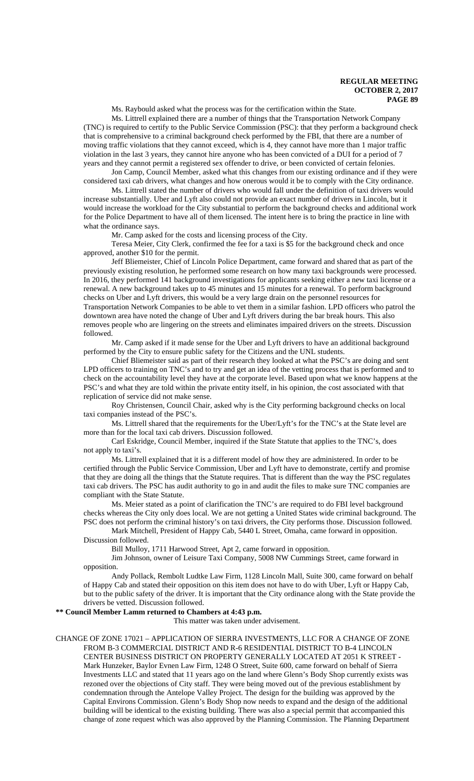Ms. Raybould asked what the process was for the certification within the State.

Ms. Littrell explained there are a number of things that the Transportation Network Company (TNC) is required to certify to the Public Service Commission (PSC): that they perform a background check that is comprehensive to a criminal background check performed by the FBI, that there are a number of moving traffic violations that they cannot exceed, which is 4, they cannot have more than 1 major traffic violation in the last 3 years, they cannot hire anyone who has been convicted of a DUI for a period of 7 years and they cannot permit a registered sex offender to drive, or been convicted of certain felonies.

Jon Camp, Council Member, asked what this changes from our existing ordinance and if they were considered taxi cab drivers, what changes and how onerous would it be to comply with the City ordinance.

Ms. Littrell stated the number of drivers who would fall under the definition of taxi drivers would increase substantially. Uber and Lyft also could not provide an exact number of drivers in Lincoln, but it would increase the workload for the City substantial to perform the background checks and additional work for the Police Department to have all of them licensed. The intent here is to bring the practice in line with what the ordinance says.

Mr. Camp asked for the costs and licensing process of the City.

Teresa Meier, City Clerk, confirmed the fee for a taxi is \$5 for the background check and once approved, another \$10 for the permit.

Jeff Bliemeister, Chief of Lincoln Police Department, came forward and shared that as part of the previously existing resolution, he performed some research on how many taxi backgrounds were processed. In 2016, they performed 141 background investigations for applicants seeking either a new taxi license or a renewal. A new background takes up to 45 minutes and 15 minutes for a renewal. To perform background checks on Uber and Lyft drivers, this would be a very large drain on the personnel resources for Transportation Network Companies to be able to vet them in a similar fashion. LPD officers who patrol the downtown area have noted the change of Uber and Lyft drivers during the bar break hours. This also removes people who are lingering on the streets and eliminates impaired drivers on the streets. Discussion followed.

Mr. Camp asked if it made sense for the Uber and Lyft drivers to have an additional background performed by the City to ensure public safety for the Citizens and the UNL students.

Chief Bliemeister said as part of their research they looked at what the PSC's are doing and sent LPD officers to training on TNC's and to try and get an idea of the vetting process that is performed and to check on the accountability level they have at the corporate level. Based upon what we know happens at the PSC's and what they are told within the private entity itself, in his opinion, the cost associated with that replication of service did not make sense.

Roy Christensen, Council Chair, asked why is the City performing background checks on local taxi companies instead of the PSC's.

Ms. Littrell shared that the requirements for the Uber/Lyft's for the TNC's at the State level are more than for the local taxi cab drivers. Discussion followed.

Carl Eskridge, Council Member, inquired if the State Statute that applies to the TNC's, does not apply to taxi's.

Ms. Littrell explained that it is a different model of how they are administered. In order to be certified through the Public Service Commission, Uber and Lyft have to demonstrate, certify and promise that they are doing all the things that the Statute requires. That is different than the way the PSC regulates taxi cab drivers. The PSC has audit authority to go in and audit the files to make sure TNC companies are compliant with the State Statute.

Ms. Meier stated as a point of clarification the TNC's are required to do FBI level background checks whereas the City only does local. We are not getting a United States wide criminal background. The PSC does not perform the criminal history's on taxi drivers, the City performs those. Discussion followed.

Mark Mitchell, President of Happy Cab, 5440 L Street, Omaha, came forward in opposition.

Discussion followed.

Bill Mulloy, 1711 Harwood Street, Apt 2, came forward in opposition.

Jim Johnson, owner of Leisure Taxi Company, 5008 NW Cummings Street, came forward in opposition.

Andy Pollack, Rembolt Ludtke Law Firm, 1128 Lincoln Mall, Suite 300, came forward on behalf of Happy Cab and stated their opposition on this item does not have to do with Uber, Lyft or Happy Cab, but to the public safety of the driver. It is important that the City ordinance along with the State provide the drivers be vetted. Discussion followed.

#### **\*\* Council Member Lamm returned to Chambers at 4:43 p.m.**

This matter was taken under advisement.

#### CHANGE OF ZONE 17021 – APPLICATION OF SIERRA INVESTMENTS, LLC FOR A CHANGE OF ZONE FROM B-3 COMMERCIAL DISTRICT AND R-6 RESIDENTIAL DISTRICT TO B-4 LINCOLN CENTER BUSINESS DISTRICT ON PROPERTY GENERALLY LOCATED AT 2051 K STREET - Mark Hunzeker, Baylor Evnen Law Firm, 1248 O Street, Suite 600, came forward on behalf of Sierra Investments LLC and stated that 11 years ago on the land where Glenn's Body Shop currently exists was rezoned over the objections of City staff. They were being moved out of the previous establishment by condemnation through the Antelope Valley Project. The design for the building was approved by the Capital Environs Commission. Glenn's Body Shop now needs to expand and the design of the additional building will be identical to the existing building. There was also a special permit that accompanied this change of zone request which was also approved by the Planning Commission. The Planning Department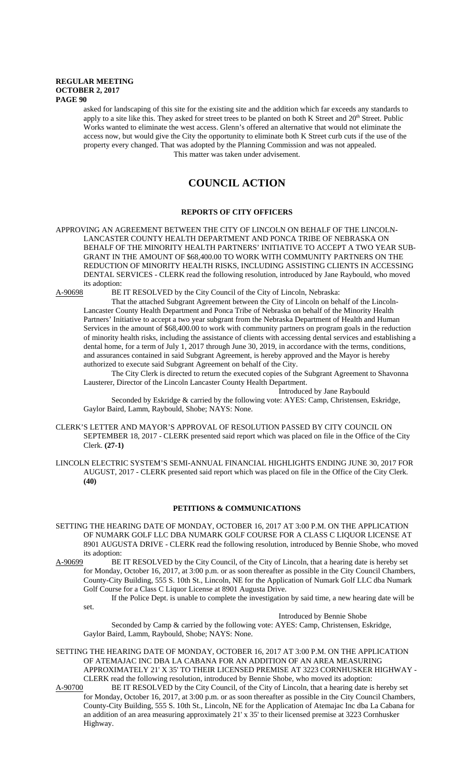asked for landscaping of this site for the existing site and the addition which far exceeds any standards to apply to a site like this. They asked for street trees to be planted on both K Street and 20<sup>th</sup> Street. Public Works wanted to eliminate the west access. Glenn's offered an alternative that would not eliminate the access now, but would give the City the opportunity to eliminate both K Street curb cuts if the use of the property every changed. That was adopted by the Planning Commission and was not appealed. This matter was taken under advisement.

# **COUNCIL ACTION**

## **REPORTS OF CITY OFFICERS**

## APPROVING AN AGREEMENT BETWEEN THE CITY OF LINCOLN ON BEHALF OF THE LINCOLN-LANCASTER COUNTY HEALTH DEPARTMENT AND PONCA TRIBE OF NEBRASKA ON BEHALF OF THE MINORITY HEALTH PARTNERS' INITIATIVE TO ACCEPT A TWO YEAR SUB-GRANT IN THE AMOUNT OF \$68,400.00 TO WORK WITH COMMUNITY PARTNERS ON THE REDUCTION OF MINORITY HEALTH RISKS, INCLUDING ASSISTING CLIENTS IN ACCESSING DENTAL SERVICES - CLERK read the following resolution, introduced by Jane Raybould, who moved its adoption:<br>A-90698 BE

BE IT RESOLVED by the City Council of the City of Lincoln, Nebraska:

That the attached Subgrant Agreement between the City of Lincoln on behalf of the Lincoln-Lancaster County Health Department and Ponca Tribe of Nebraska on behalf of the Minority Health Partners' Initiative to accept a two year subgrant from the Nebraska Department of Health and Human Services in the amount of \$68,400.00 to work with community partners on program goals in the reduction of minority health risks, including the assistance of clients with accessing dental services and establishing a dental home, for a term of July 1, 2017 through June 30, 2019, in accordance with the terms, conditions, and assurances contained in said Subgrant Agreement, is hereby approved and the Mayor is hereby authorized to execute said Subgrant Agreement on behalf of the City.

The City Clerk is directed to return the executed copies of the Subgrant Agreement to Shavonna Lausterer, Director of the Lincoln Lancaster County Health Department.

Introduced by Jane Raybould

Seconded by Eskridge & carried by the following vote: AYES: Camp, Christensen, Eskridge, Gaylor Baird, Lamm, Raybould, Shobe; NAYS: None.

- CLERK'S LETTER AND MAYOR'S APPROVAL OF RESOLUTION PASSED BY CITY COUNCIL ON SEPTEMBER 18, 2017 - CLERK presented said report which was placed on file in the Office of the City Clerk. **(27-1)**
- LINCOLN ELECTRIC SYSTEM'S SEMI-ANNUAL FINANCIAL HIGHLIGHTS ENDING JUNE 30, 2017 FOR AUGUST, 2017 - CLERK presented said report which was placed on file in the Office of the City Clerk. **(40)**

## **PETITIONS & COMMUNICATIONS**

- SETTING THE HEARING DATE OF MONDAY, OCTOBER 16, 2017 AT 3:00 P.M. ON THE APPLICATION OF NUMARK GOLF LLC DBA NUMARK GOLF COURSE FOR A CLASS C LIQUOR LICENSE AT 8901 AUGUSTA DRIVE - CLERK read the following resolution, introduced by Bennie Shobe, who moved its adoption:
- A-90699 BE IT RESOLVED by the City Council, of the City of Lincoln, that a hearing date is hereby set for Monday, October 16, 2017, at 3:00 p.m. or as soon thereafter as possible in the City Council Chambers, County-City Building, 555 S. 10th St., Lincoln, NE for the Application of Numark Golf LLC dba Numark Golf Course for a Class C Liquor License at 8901 Augusta Drive.

If the Police Dept. is unable to complete the investigation by said time, a new hearing date will be set.

Introduced by Bennie Shobe

Seconded by Camp & carried by the following vote: AYES: Camp, Christensen, Eskridge, Gaylor Baird, Lamm, Raybould, Shobe; NAYS: None.

SETTING THE HEARING DATE OF MONDAY, OCTOBER 16, 2017 AT 3:00 P.M. ON THE APPLICATION OF ATEMAJAC INC DBA LA CABANA FOR AN ADDITION OF AN AREA MEASURING APPROXIMATELY 21' X 35' TO THEIR LICENSED PREMISE AT 3223 CORNHUSKER HIGHWAY - CLERK read the following resolution, introduced by Bennie Shobe, who moved its adoption:

A-90700 BE IT RESOLVED by the City Council, of the City of Lincoln, that a hearing date is hereby set for Monday, October 16, 2017, at 3:00 p.m. or as soon thereafter as possible in the City Council Chambers, County-City Building, 555 S. 10th St., Lincoln, NE for the Application of Atemajac Inc dba La Cabana for an addition of an area measuring approximately 21' x 35' to their licensed premise at 3223 Cornhusker Highway.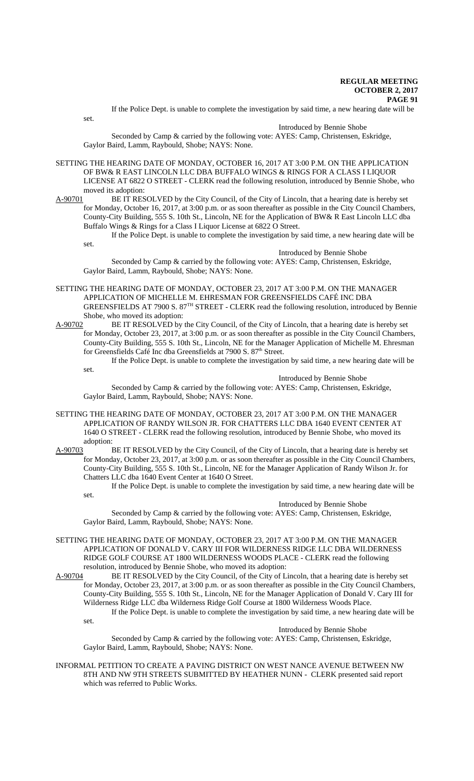If the Police Dept. is unable to complete the investigation by said time, a new hearing date will be

set.

## Introduced by Bennie Shobe

Seconded by Camp & carried by the following vote: AYES: Camp, Christensen, Eskridge, Gaylor Baird, Lamm, Raybould, Shobe; NAYS: None.

- SETTING THE HEARING DATE OF MONDAY, OCTOBER 16, 2017 AT 3:00 P.M. ON THE APPLICATION OF BW& R EAST LINCOLN LLC DBA BUFFALO WINGS & RINGS FOR A CLASS I LIQUOR LICENSE AT 6822 O STREET - CLERK read the following resolution, introduced by Bennie Shobe, who
- moved its adoption:<br>A-90701 BE IT RES BE IT RESOLVED by the City Council, of the City of Lincoln, that a hearing date is hereby set for Monday, October 16, 2017, at 3:00 p.m. or as soon thereafter as possible in the City Council Chambers, County-City Building, 555 S. 10th St., Lincoln, NE for the Application of BW& R East Lincoln LLC dba Buffalo Wings & Rings for a Class I Liquor License at 6822 O Street.

If the Police Dept. is unable to complete the investigation by said time, a new hearing date will be set.

Introduced by Bennie Shobe Seconded by Camp & carried by the following vote: AYES: Camp, Christensen, Eskridge, Gaylor Baird, Lamm, Raybould, Shobe; NAYS: None.

- SETTING THE HEARING DATE OF MONDAY, OCTOBER 23, 2017 AT 3:00 P.M. ON THE MANAGER APPLICATION OF MICHELLE M. EHRESMAN FOR GREENSFIELDS CAFÉ INC DBA GREENSFIELDS AT 7900 S. 87<sup>TH</sup> STREET - CLERK read the following resolution, introduced by Bennie Shobe, who moved its adoption:
- A-90702 BE IT RESOLVED by the City Council, of the City of Lincoln, that a hearing date is hereby set for Monday, October 23, 2017, at 3:00 p.m. or as soon thereafter as possible in the City Council Chambers, County-City Building, 555 S. 10th St., Lincoln, NE for the Manager Application of Michelle M. Ehresman for Greensfields Café Inc dba Greensfields at 7900 S. 87<sup>th</sup> Street.

If the Police Dept. is unable to complete the investigation by said time, a new hearing date will be set.

Introduced by Bennie Shobe

Seconded by Camp & carried by the following vote: AYES: Camp, Christensen, Eskridge, Gaylor Baird, Lamm, Raybould, Shobe; NAYS: None.

- SETTING THE HEARING DATE OF MONDAY, OCTOBER 23, 2017 AT 3:00 P.M. ON THE MANAGER APPLICATION OF RANDY WILSON JR. FOR CHATTERS LLC DBA 1640 EVENT CENTER AT 1640 O STREET - CLERK read the following resolution, introduced by Bennie Shobe, who moved its adoption:
- A-90703 BE IT RESOLVED by the City Council, of the City of Lincoln, that a hearing date is hereby set for Monday, October 23, 2017, at 3:00 p.m. or as soon thereafter as possible in the City Council Chambers, County-City Building, 555 S. 10th St., Lincoln, NE for the Manager Application of Randy Wilson Jr. for Chatters LLC dba 1640 Event Center at 1640 O Street.
	- If the Police Dept. is unable to complete the investigation by said time, a new hearing date will be set.

Introduced by Bennie Shobe

Seconded by Camp & carried by the following vote: AYES: Camp, Christensen, Eskridge, Gaylor Baird, Lamm, Raybould, Shobe; NAYS: None.

SETTING THE HEARING DATE OF MONDAY, OCTOBER 23, 2017 AT 3:00 P.M. ON THE MANAGER APPLICATION OF DONALD V. CARY III FOR WILDERNESS RIDGE LLC DBA WILDERNESS RIDGE GOLF COURSE AT 1800 WILDERNESS WOODS PLACE - CLERK read the following resolution, introduced by Bennie Shobe, who moved its adoption:

A-90704 BE IT RESOLVED by the City Council, of the City of Lincoln, that a hearing date is hereby set for Monday, October 23, 2017, at 3:00 p.m. or as soon thereafter as possible in the City Council Chambers, County-City Building, 555 S. 10th St., Lincoln, NE for the Manager Application of Donald V. Cary III for Wilderness Ridge LLC dba Wilderness Ridge Golf Course at 1800 Wilderness Woods Place. If the Police Dept. is unable to complete the investigation by said time, a new hearing date will be set.

Introduced by Bennie Shobe

Seconded by Camp & carried by the following vote: AYES: Camp, Christensen, Eskridge, Gaylor Baird, Lamm, Raybould, Shobe; NAYS: None.

INFORMAL PETITION TO CREATE A PAVING DISTRICT ON WEST NANCE AVENUE BETWEEN NW 8TH AND NW 9TH STREETS SUBMITTED BY HEATHER NUNN - CLERK presented said report which was referred to Public Works.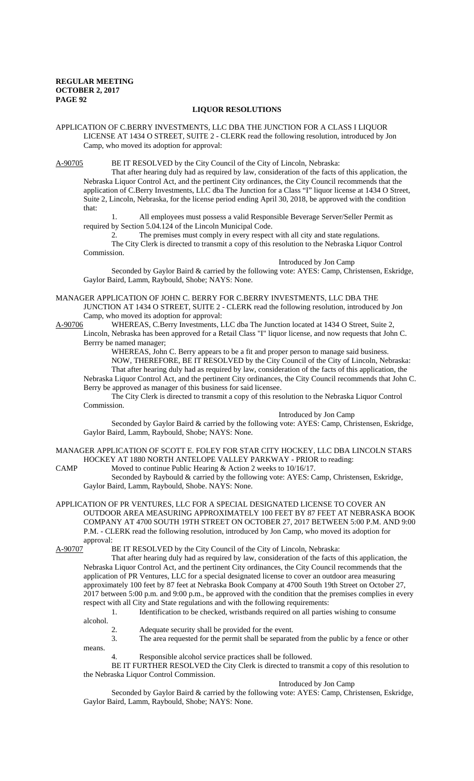## **LIQUOR RESOLUTIONS**

APPLICATION OF C.BERRY INVESTMENTS, LLC DBA THE JUNCTION FOR A CLASS I LIQUOR LICENSE AT 1434 O STREET, SUITE 2 - CLERK read the following resolution, introduced by Jon Camp, who moved its adoption for approval:

A-90705 BE IT RESOLVED by the City Council of the City of Lincoln, Nebraska:

That after hearing duly had as required by law, consideration of the facts of this application, the Nebraska Liquor Control Act, and the pertinent City ordinances, the City Council recommends that the application of C.Berry Investments, LLC dba The Junction for a Class "I" liquor license at 1434 O Street, Suite 2, Lincoln, Nebraska, for the license period ending April 30, 2018, be approved with the condition that:

1. All employees must possess a valid Responsible Beverage Server/Seller Permit as required by Section 5.04.124 of the Lincoln Municipal Code.

2. The premises must comply in every respect with all city and state regulations. The City Clerk is directed to transmit a copy of this resolution to the Nebraska Liquor Control Commission.

Introduced by Jon Camp

Seconded by Gaylor Baird & carried by the following vote: AYES: Camp, Christensen, Eskridge, Gaylor Baird, Lamm, Raybould, Shobe; NAYS: None.

MANAGER APPLICATION OF JOHN C. BERRY FOR C.BERRY INVESTMENTS, LLC DBA THE JUNCTION AT 1434 O STREET, SUITE 2 - CLERK read the following resolution, introduced by Jon Camp, who moved its adoption for approval:<br>A-90706 WHEREAS, C.Berry Investments, L

WHEREAS, C.Berry Investments, LLC dba The Junction located at 1434 O Street, Suite 2,

Lincoln, Nebraska has been approved for a Retail Class "I" liquor license, and now requests that John C. Berrry be named manager;

WHEREAS, John C. Berry appears to be a fit and proper person to manage said business. NOW, THEREFORE, BE IT RESOLVED by the City Council of the City of Lincoln, Nebraska: That after hearing duly had as required by law, consideration of the facts of this application, the Nebraska Liquor Control Act, and the pertinent City ordinances, the City Council recommends that John C.

Berry be approved as manager of this business for said licensee.

The City Clerk is directed to transmit a copy of this resolution to the Nebraska Liquor Control Commission.

Introduced by Jon Camp

Seconded by Gaylor Baird & carried by the following vote: AYES: Camp, Christensen, Eskridge, Gaylor Baird, Lamm, Raybould, Shobe; NAYS: None.

MANAGER APPLICATION OF SCOTT E. FOLEY FOR STAR CITY HOCKEY, LLC DBA LINCOLN STARS HOCKEY AT 1880 NORTH ANTELOPE VALLEY PARKWAY - PRIOR to reading:

CAMP Moved to continue Public Hearing & Action 2 weeks to 10/16/17. Seconded by Raybould & carried by the following vote: AYES: Camp, Christensen, Eskridge, Gaylor Baird, Lamm, Raybould, Shobe. NAYS: None.

APPLICATION OF PR VENTURES, LLC FOR A SPECIAL DESIGNATED LICENSE TO COVER AN OUTDOOR AREA MEASURING APPROXIMATELY 100 FEET BY 87 FEET AT NEBRASKA BOOK COMPANY AT 4700 SOUTH 19TH STREET ON OCTOBER 27, 2017 BETWEEN 5:00 P.M. AND 9:00 P.M. - CLERK read the following resolution, introduced by Jon Camp, who moved its adoption for approval:

A-90707 BE IT RESOLVED by the City Council of the City of Lincoln, Nebraska:

That after hearing duly had as required by law, consideration of the facts of this application, the Nebraska Liquor Control Act, and the pertinent City ordinances, the City Council recommends that the application of PR Ventures, LLC for a special designated license to cover an outdoor area measuring approximately 100 feet by 87 feet at Nebraska Book Company at 4700 South 19th Street on October 27, 2017 between 5:00 p.m. and 9:00 p.m., be approved with the condition that the premises complies in every respect with all City and State regulations and with the following requirements:

1. Identification to be checked, wristbands required on all parties wishing to consume

alcohol.

2. Adequate security shall be provided for the event.

3. The area requested for the permit shall be separated from the public by a fence or other means.

4. Responsible alcohol service practices shall be followed.

BE IT FURTHER RESOLVED the City Clerk is directed to transmit a copy of this resolution to the Nebraska Liquor Control Commission.

Introduced by Jon Camp

Seconded by Gaylor Baird & carried by the following vote: AYES: Camp, Christensen, Eskridge, Gaylor Baird, Lamm, Raybould, Shobe; NAYS: None.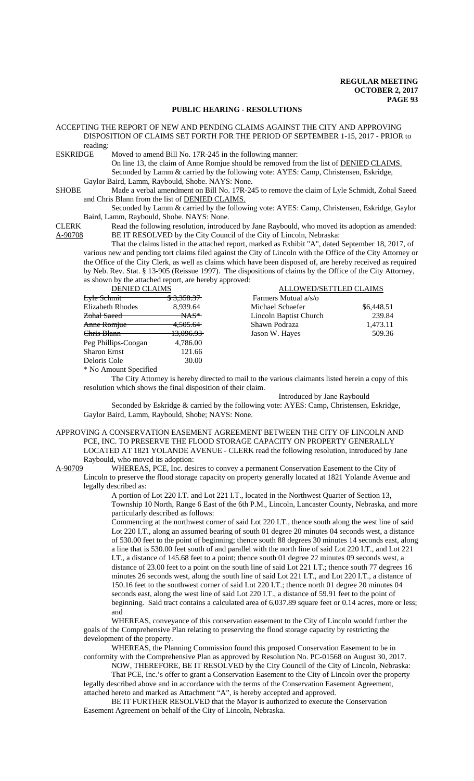#### **PUBLIC HEARING - RESOLUTIONS**

|                 | ACCEPTING THE REPORT OF NEW AND PENDING CLAIMS AGAINST THE CITY AND APPROVING     |
|-----------------|-----------------------------------------------------------------------------------|
|                 | DISPOSITION OF CLAIMS SET FORTH FOR THE PERIOD OF SEPTEMBER 1-15, 2017 - PRIOR to |
| reading:        |                                                                                   |
| <b>ESKRIDGE</b> | Moved to amend Bill No. 17R-245 in the following manner:                          |

On line 13, the claim of Anne Romjue should be removed from the list of DENIED CLAIMS. Seconded by Lamm & carried by the following vote: AYES: Camp, Christensen, Eskridge, Gaylor Baird, Lamm, Raybould, Shobe. NAYS: None.

SHOBE Made a verbal amendment on Bill No. 17R-245 to remove the claim of Lyle Schmidt, Zohal Saeed and Chris Blann from the list of DENIED CLAIMS.

Seconded by Lamm & carried by the following vote: AYES: Camp, Christensen, Eskridge, Gaylor Baird, Lamm, Raybould, Shobe. NAYS: None.

CLERK Read the following resolution, introduced by Jane Raybould, who moved its adoption as amended:<br>A-90708 BE IT RESOLVED by the City Council of the City of Lincoln, Nebraska: BE IT RESOLVED by the City Council of the City of Lincoln, Nebraska:

That the claims listed in the attached report, marked as Exhibit "A", dated September 18, 2017, of various new and pending tort claims filed against the City of Lincoln with the Office of the City Attorney or the Office of the City Clerk, as well as claims which have been disposed of, are hereby received as required by Neb. Rev. Stat. § 13-905 (Reissue 1997). The dispositions of claims by the Office of the City Attorney, as shown by the attached report, are hereby approved:

Farmers Mutual  $a/s/o$ 

DENIED CLAIMS ALLOWED/SETTLED CLAIMS

| Lyle Schmit             | <del>\$3,358.37-</del> |  |
|-------------------------|------------------------|--|
| <b>Elizabeth Rhodes</b> | 8,939.64               |  |
| <del>Zohal Saeed</del>  | NAS*                   |  |
| Anne Romiue             | <del>4,505.64</del>    |  |
| Chris Blann             | <del>13,096.93 </del>  |  |
| Peg Phillips-Coogan     | 4,786.00               |  |
| <b>Sharon Ernst</b>     | 121.66                 |  |
| Deloris Cole            | 30.00                  |  |
| * No Amount Specified   |                        |  |

The City Attorney is hereby directed to mail to the various claimants listed herein a copy of this resolution which shows the final disposition of their claim.

Introduced by Jane Raybould

Michael Schaefer  $$6,448.51$ Lincoln Baptist Church 239.84 Shawn Podraza 1,473.11 Jason W. Hayes 509.36

Seconded by Eskridge & carried by the following vote: AYES: Camp, Christensen, Eskridge, Gaylor Baird, Lamm, Raybould, Shobe; NAYS: None.

APPROVING A CONSERVATION EASEMENT AGREEMENT BETWEEN THE CITY OF LINCOLN AND PCE, INC. TO PRESERVE THE FLOOD STORAGE CAPACITY ON PROPERTY GENERALLY LOCATED AT 1821 YOLANDE AVENUE - CLERK read the following resolution, introduced by Jane Raybould, who moved its adoption:

A-90709 WHEREAS, PCE, Inc. desires to convey a permanent Conservation Easement to the City of Lincoln to preserve the flood storage capacity on property generally located at 1821 Yolande Avenue and legally described as:

A portion of Lot 220 I.T. and Lot 221 I.T., located in the Northwest Quarter of Section 13, Township 10 North, Range 6 East of the 6th P.M., Lincoln, Lancaster County, Nebraska, and more particularly described as follows:

Commencing at the northwest corner of said Lot 220 I.T., thence south along the west line of said Lot 220 I.T., along an assumed bearing of south 01 degree 20 minutes 04 seconds west, a distance of 530.00 feet to the point of beginning; thence south 88 degrees 30 minutes 14 seconds east, along a line that is 530.00 feet south of and parallel with the north line of said Lot 220 I.T., and Lot 221 I.T., a distance of 145.68 feet to a point; thence south 01 degree 22 minutes 09 seconds west, a distance of 23.00 feet to a point on the south line of said Lot 221 I.T.; thence south 77 degrees 16 minutes 26 seconds west, along the south line of said Lot 221 I.T., and Lot 220 I.T., a distance of 150.16 feet to the southwest corner of said Lot 220 I.T.; thence north 01 degree 20 minutes 04 seconds east, along the west line of said Lot 220 I.T., a distance of 59.91 feet to the point of beginning. Said tract contains a calculated area of 6,037.89 square feet or 0.14 acres, more or less; and

WHEREAS, conveyance of this conservation easement to the City of Lincoln would further the goals of the Comprehensive Plan relating to preserving the flood storage capacity by restricting the development of the property.

WHEREAS, the Planning Commission found this proposed Conservation Easement to be in conformity with the Comprehensive Plan as approved by Resolution No. PC-01568 on August 30, 2017.

NOW, THEREFORE, BE IT RESOLVED by the City Council of the City of Lincoln, Nebraska:

That PCE, Inc.'s offer to grant a Conservation Easement to the City of Lincoln over the property legally described above and in accordance with the terms of the Conservation Easement Agreement, attached hereto and marked as Attachment "A", is hereby accepted and approved.

BE IT FURTHER RESOLVED that the Mayor is authorized to execute the Conservation Easement Agreement on behalf of the City of Lincoln, Nebraska.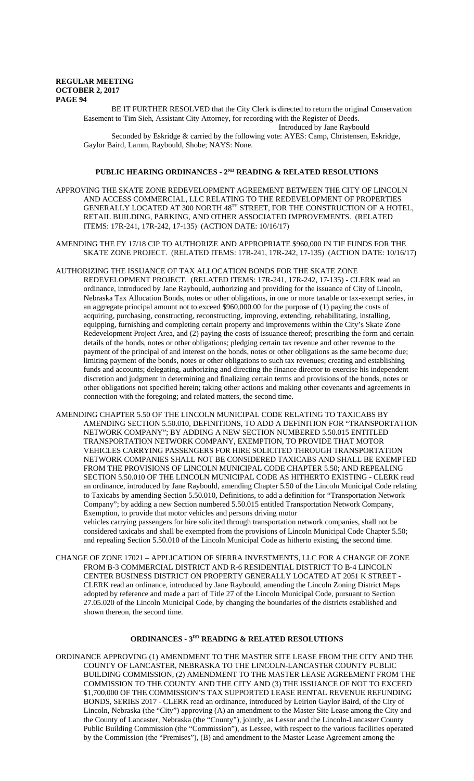BE IT FURTHER RESOLVED that the City Clerk is directed to return the original Conservation Easement to Tim Sieh, Assistant City Attorney, for recording with the Register of Deeds.

Introduced by Jane Raybould Seconded by Eskridge & carried by the following vote: AYES: Camp, Christensen, Eskridge, Gaylor Baird, Lamm, Raybould, Shobe; NAYS: None.

## PUBLIC HEARING ORDINANCES - 2<sup>ND</sup> READING & RELATED RESOLUTIONS

- APPROVING THE SKATE ZONE REDEVELOPMENT AGREEMENT BETWEEN THE CITY OF LINCOLN AND ACCESS COMMERCIAL, LLC RELATING TO THE REDEVELOPMENT OF PROPERTIES GENERALLY LOCATED AT 300 NORTH 48TH STREET, FOR THE CONSTRUCTION OF A HOTEL, RETAIL BUILDING, PARKING, AND OTHER ASSOCIATED IMPROVEMENTS. (RELATED ITEMS: 17R-241, 17R-242, 17-135) (ACTION DATE: 10/16/17)
- AMENDING THE FY 17/18 CIP TO AUTHORIZE AND APPROPRIATE \$960,000 IN TIF FUNDS FOR THE SKATE ZONE PROJECT. (RELATED ITEMS: 17R-241, 17R-242, 17-135) (ACTION DATE: 10/16/17)
- AUTHORIZING THE ISSUANCE OF TAX ALLOCATION BONDS FOR THE SKATE ZONE REDEVELOPMENT PROJECT. (RELATED ITEMS: 17R-241, 17R-242, 17-135) - CLERK read an ordinance, introduced by Jane Raybould, authorizing and providing for the issuance of City of Lincoln, Nebraska Tax Allocation Bonds, notes or other obligations, in one or more taxable or tax-exempt series, in an aggregate principal amount not to exceed \$960,000.00 for the purpose of (1) paying the costs of acquiring, purchasing, constructing, reconstructing, improving, extending, rehabilitating, installing, equipping, furnishing and completing certain property and improvements within the City's Skate Zone Redevelopment Project Area, and (2) paying the costs of issuance thereof; prescribing the form and certain details of the bonds, notes or other obligations; pledging certain tax revenue and other revenue to the payment of the principal of and interest on the bonds, notes or other obligations as the same become due; limiting payment of the bonds, notes or other obligations to such tax revenues; creating and establishing funds and accounts; delegating, authorizing and directing the finance director to exercise his independent discretion and judgment in determining and finalizing certain terms and provisions of the bonds, notes or other obligations not specified herein; taking other actions and making other covenants and agreements in connection with the foregoing; and related matters, the second time.
- AMENDING CHAPTER 5.50 OF THE LINCOLN MUNICIPAL CODE RELATING TO TAXICABS BY AMENDING SECTION 5.50.010, DEFINITIONS, TO ADD A DEFINITION FOR "TRANSPORTATION NETWORK COMPANY"; BY ADDING A NEW SECTION NUMBERED 5.50.015 ENTITLED TRANSPORTATION NETWORK COMPANY, EXEMPTION, TO PROVIDE THAT MOTOR VEHICLES CARRYING PASSENGERS FOR HIRE SOLICITED THROUGH TRANSPORTATION NETWORK COMPANIES SHALL NOT BE CONSIDERED TAXICABS AND SHALL BE EXEMPTED FROM THE PROVISIONS OF LINCOLN MUNICIPAL CODE CHAPTER 5.50; AND REPEALING SECTION 5.50.010 OF THE LINCOLN MUNICIPAL CODE AS HITHERTO EXISTING - CLERK read an ordinance, introduced by Jane Raybould, amending Chapter 5.50 of the Lincoln Municipal Code relating to Taxicabs by amending Section 5.50.010, Definitions, to add a definition for "Transportation Network Company"; by adding a new Section numbered 5.50.015 entitled Transportation Network Company, Exemption, to provide that motor vehicles and persons driving motor vehicles carrying passengers for hire solicited through transportation network companies, shall not be

considered taxicabs and shall be exempted from the provisions of Lincoln Municipal Code Chapter 5.50; and repealing Section 5.50.010 of the Lincoln Municipal Code as hitherto existing, the second time.

CHANGE OF ZONE 17021 – APPLICATION OF SIERRA INVESTMENTS, LLC FOR A CHANGE OF ZONE FROM B-3 COMMERCIAL DISTRICT AND R-6 RESIDENTIAL DISTRICT TO B-4 LINCOLN CENTER BUSINESS DISTRICT ON PROPERTY GENERALLY LOCATED AT 2051 K STREET - CLERK read an ordinance, introduced by Jane Raybould, amending the Lincoln Zoning District Maps adopted by reference and made a part of Title 27 of the Lincoln Municipal Code, pursuant to Section 27.05.020 of the Lincoln Municipal Code, by changing the boundaries of the districts established and shown thereon, the second time.

## **ORDINANCES - 3RD READING & RELATED RESOLUTIONS**

ORDINANCE APPROVING (1) AMENDMENT TO THE MASTER SITE LEASE FROM THE CITY AND THE COUNTY OF LANCASTER, NEBRASKA TO THE LINCOLN-LANCASTER COUNTY PUBLIC BUILDING COMMISSION, (2) AMENDMENT TO THE MASTER LEASE AGREEMENT FROM THE COMMISSION TO THE COUNTY AND THE CITY AND (3) THE ISSUANCE OF NOT TO EXCEED \$1,700,000 OF THE COMMISSION'S TAX SUPPORTED LEASE RENTAL REVENUE REFUNDING BONDS, SERIES 2017 - CLERK read an ordinance, introduced by Leirion Gaylor Baird, of the City of Lincoln, Nebraska (the "City") approving (A) an amendment to the Master Site Lease among the City and the County of Lancaster, Nebraska (the "County"), jointly, as Lessor and the Lincoln-Lancaster County Public Building Commission (the "Commission"), as Lessee, with respect to the various facilities operated by the Commission (the "Premises"), (B) and amendment to the Master Lease Agreement among the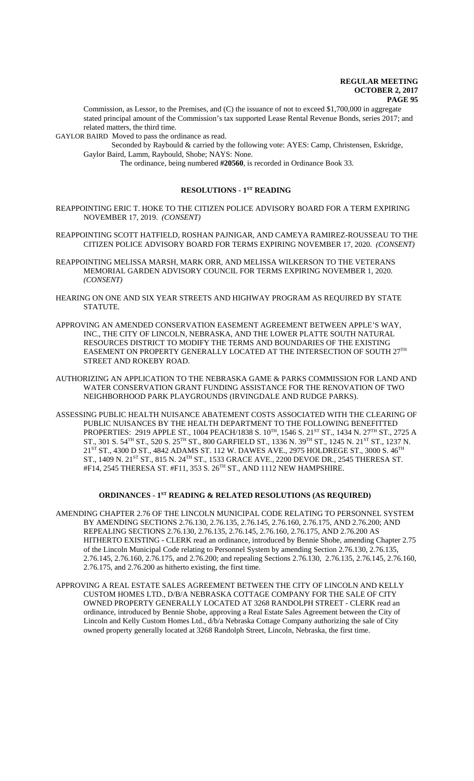Commission, as Lessor, to the Premises, and (C) the issuance of not to exceed \$1,700,000 in aggregate stated principal amount of the Commission's tax supported Lease Rental Revenue Bonds, series 2017; and related matters, the third time.

GAYLOR BAIRD Moved to pass the ordinance as read.

Seconded by Raybould & carried by the following vote: AYES: Camp, Christensen, Eskridge, Gaylor Baird, Lamm, Raybould, Shobe; NAYS: None.

The ordinance, being numbered **#20560**, is recorded in Ordinance Book 33.

## **RESOLUTIONS - 1ST READING**

- REAPPOINTING ERIC T. HOKE TO THE CITIZEN POLICE ADVISORY BOARD FOR A TERM EXPIRING NOVEMBER 17, 2019. *(CONSENT)*
- REAPPOINTING SCOTT HATFIELD, ROSHAN PAJNIGAR, AND CAMEYA RAMIREZ-ROUSSEAU TO THE CITIZEN POLICE ADVISORY BOARD FOR TERMS EXPIRING NOVEMBER 17, 2020. *(CONSENT)*
- REAPPOINTING MELISSA MARSH, MARK ORR, AND MELISSA WILKERSON TO THE VETERANS MEMORIAL GARDEN ADVISORY COUNCIL FOR TERMS EXPIRING NOVEMBER 1, 2020. *(CONSENT)*
- HEARING ON ONE AND SIX YEAR STREETS AND HIGHWAY PROGRAM AS REQUIRED BY STATE STATUTE.
- APPROVING AN AMENDED CONSERVATION EASEMENT AGREEMENT BETWEEN APPLE'S WAY, INC., THE CITY OF LINCOLN, NEBRASKA, AND THE LOWER PLATTE SOUTH NATURAL RESOURCES DISTRICT TO MODIFY THE TERMS AND BOUNDARIES OF THE EXISTING EASEMENT ON PROPERTY GENERALLY LOCATED AT THE INTERSECTION OF SOUTH 27TH STREET AND ROKEBY ROAD.
- AUTHORIZING AN APPLICATION TO THE NEBRASKA GAME & PARKS COMMISSION FOR LAND AND WATER CONSERVATION GRANT FUNDING ASSISTANCE FOR THE RENOVATION OF TWO NEIGHBORHOOD PARK PLAYGROUNDS (IRVINGDALE AND RUDGE PARKS).
- ASSESSING PUBLIC HEALTH NUISANCE ABATEMENT COSTS ASSOCIATED WITH THE CLEARING OF PUBLIC NUISANCES BY THE HEALTH DEPARTMENT TO THE FOLLOWING BENEFITTED PROPERTIES: 2919 APPLE ST., 1004 PEACH/1838 S.  $10^{TH}$ , 1546 S.  $21^{ST}$  ST., 1434 N.  $27^{TH}$  ST., 2725 A ST., 301 S. 54<sup>TH</sup> ST., 520 S. 25<sup>TH</sup> ST., 800 GARFIELD ST., 1336 N. 39<sup>TH</sup> ST., 1245 N. 21<sup>ST</sup> ST., 1237 N.  $21^{ST}$  ST., 4300 D ST., 4842 ADAMS ST. 112 W. DAWES AVE., 2975 HOLDREGE ST., 3000 S. 46<sup>TH</sup> ST., 1409 N. 21<sup>ST</sup> ST., 815 N. 24<sup>TH</sup> ST., 1533 GRACE AVE., 2200 DEVOE DR., 2545 THERESA ST. #F14, 2545 THERESA ST. #F11, 353 S. 26TH ST., AND 1112 NEW HAMPSHIRE.

## **ORDINANCES - 1ST READING & RELATED RESOLUTIONS (AS REQUIRED)**

- AMENDING CHAPTER 2.76 OF THE LINCOLN MUNICIPAL CODE RELATING TO PERSONNEL SYSTEM BY AMENDING SECTIONS 2.76.130, 2.76.135, 2.76.145, 2.76.160, 2.76.175, AND 2.76.200; AND REPEALING SECTIONS 2.76.130, 2.76.135, 2.76.145, 2.76.160, 2.76.175, AND 2.76.200 AS HITHERTO EXISTING - CLERK read an ordinance, introduced by Bennie Shobe, amending Chapter 2.75 of the Lincoln Municipal Code relating to Personnel System by amending Section 2.76.130, 2.76.135, 2.76.145, 2.76.160, 2.76.175, and 2.76.200; and repealing Sections 2.76.130, 2.76.135, 2.76.145, 2.76.160, 2.76.175, and 2.76.200 as hitherto existing, the first time.
- APPROVING A REAL ESTATE SALES AGREEMENT BETWEEN THE CITY OF LINCOLN AND KELLY CUSTOM HOMES LTD., D/B/A NEBRASKA COTTAGE COMPANY FOR THE SALE OF CITY OWNED PROPERTY GENERALLY LOCATED AT 3268 RANDOLPH STREET - CLERK read an ordinance, introduced by Bennie Shobe, approving a Real Estate Sales Agreement between the City of Lincoln and Kelly Custom Homes Ltd., d/b/a Nebraska Cottage Company authorizing the sale of City owned property generally located at 3268 Randolph Street, Lincoln, Nebraska, the first time.